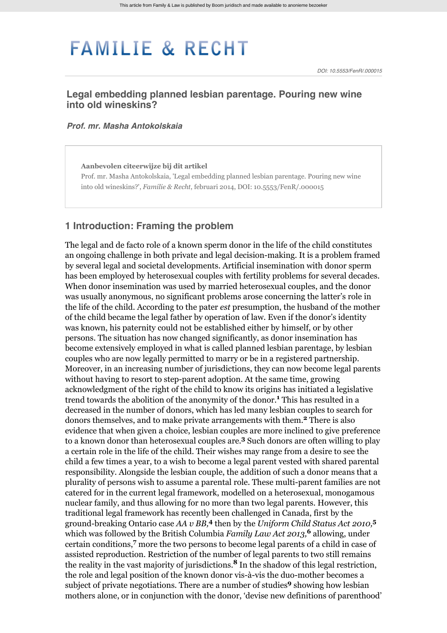# **FAMILIE & RECHT**

## **Legal embedding planned lesbian parentage. Pouring new wine into old wineskins?**

#### *[Prof. mr. Masha Antokolskaia](http://www.familieenrecht.nl/zoek?search_category=&search_journal_code=&search_text=%40auteur+Antokolskaia&search_year=)*

**Aanbevolen citeerwijze bij dit artikel** Prof. mr. Masha Antokolskaia, 'Legal embedding planned lesbian parentage. Pouring new wine into old wineskins?', *Familie & Recht*, februari 2014, DOI: 10.5553/FenR/.000015

## **1 Introduction: Framing the problem**

The legal and de facto role of a known sperm donor in the life of the child constitutes an ongoing challenge in both private and legal decision-making. It is a problem framed by several legal and societal developments. Artificial insemination with donor sperm has been employed by heterosexual couples with fertility problems for several decades. When donor insemination was used by married heterosexual couples, and the donor was usually anonymous, no significant problems arose concerning the latter's role in the life of the child. According to the pater *est* presumption, the husband of the mother of the child became the legal father by operation of law. Even if the donor's identity was known, his paternity could not be established either by himself, or by other persons. The situation has now changed significantly, as donor insemination has become extensively employed in what is called planned lesbian parentage, by lesbian couples who are now legally permitted to marry or be in a registered partnership. Moreover, in an increasing number of jurisdictions, they can now become legal parents without having to resort to step-parent adoption. At the same time, growing acknowledgment of the right of the child to know its origins has initiated a legislative trend towards the abolition of the anonymity of the donor.<sup>1</sup> This has resulted in a decreased in the number of donors, which has led many lesbian couples to search for donors themselves, and to make private arrangements with them.<sup>2</sup> There is also evidence that when given a choice, lesbian couples are more inclined to give preference to a known donor than heterosexual couples are.<sup>3</sup> Such donors are often willing to play a certain role in the life of the child. Their wishes may range from a desire to see the child a few times a year, to a wish to become a legal parent vested with shared parental responsibility. Alongside the lesbian couple, the addition of such a donor means that a plurality of persons wish to assume a parental role. These multi-parent families are not catered for in the current legal framework, modelled on a heterosexual, monogamous nuclear family, and thus allowing for no more than two legal parents. However, this traditional legal framework has recently been challenged in Canada, first by the ground-breaking Ontario case AA v BB,<sup>4</sup> then by the *Uniform Child Status Act 2010*,<sup>5</sup> which was followed by the British Columbia *Family Law Act 2013*,<sup>6</sup> allowing, under certain conditions,<sup>7</sup> more the two persons to become legal parents of a child in case of assisted reproduction. Restriction of the number of legal parents to two still remains the reality in the vast majority of jurisdictions.<sup>8</sup> In the shadow of this legal restriction, the role and legal position of the known donor vis-à-vis the duo-mother becomes a subject of private negotiations. There are a number of studies<sup>9</sup> showing how lesbian mothers alone, or in conjunction with the donor, 'devise new definitions of parenthood'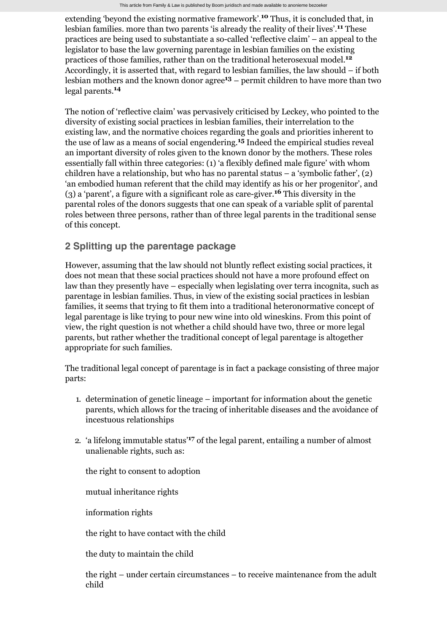extending 'beyond the existing normative framework'.<sup>10</sup> Thus, it is concluded that, in lesbian families. more than two parents 'is already the reality of their lives'.<sup>11</sup> These practices are being used to substantiate a so-called 'reflective claim' – an appeal to the legislator to base the law governing parentage in lesbian families on the existing practices of those families, rather than on the traditional heterosexual model. **12** Accordingly, it is asserted that, with regard to lesbian families, the law should – if both lesbian mothers and the known donor agree<sup>13</sup> – permit children to have more than two legal parents. **14**

The notion of 'reflective claim' was pervasively criticised by Leckey, who pointed to the diversity of existing social practices in lesbian families, their interrelation to the existing law, and the normative choices regarding the goals and priorities inherent to the use of law as a means of social engendering.<sup>15</sup> Indeed the empirical studies reveal an important diversity of roles given to the known donor by the mothers. These roles essentially fall within three categories: (1) 'a flexibly defined male figure' with whom children have a relationship, but who has no parental status – a 'symbolic father', (2) 'an embodied human referent that the child may identify as his or her progenitor', and (3) a 'parent', a figure with a significant role as care-giver. This diversity in the **16** parental roles of the donors suggests that one can speak of a variable split of parental roles between three persons, rather than of three legal parents in the traditional sense of this concept.

# **2 Splitting up the parentage package**

However, assuming that the law should not bluntly reflect existing social practices, it does not mean that these social practices should not have a more profound effect on law than they presently have – especially when legislating over terra incognita, such as parentage in lesbian families. Thus, in view of the existing social practices in lesbian families, it seems that trying to fit them into a traditional heteronormative concept of legal parentage is like trying to pour new wine into old wineskins. From this point of view, the right question is not whether a child should have two, three or more legal parents, but rather whether the traditional concept of legal parentage is altogether appropriate for such families.

The traditional legal concept of parentage is in fact a package consisting of three major parts:

- 1. determination of genetic lineage important for information about the genetic parents, which allows for the tracing of inheritable diseases and the avoidance of incestuous relationships
- 2. 'a lifelong immutable status<sup>'17</sup> of the legal parent, entailing a number of almost unalienable rights, such as:

the right to consent to adoption

mutual inheritance rights

information rights

the right to have contact with the child

the duty to maintain the child

the right – under certain circumstances – to receive maintenance from the adult child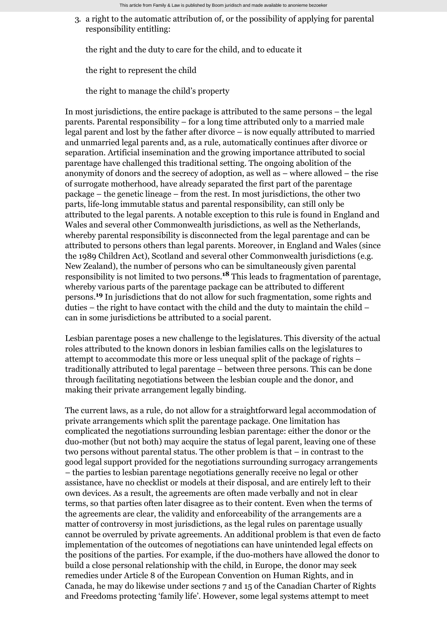3. a right to the automatic attribution of, or the possibility of applying for parental responsibility entitling:

the right and the duty to care for the child, and to educate it

the right to represent the child

the right to manage the child's property

In most jurisdictions, the entire package is attributed to the same persons – the legal parents. Parental responsibility – for a long time attributed only to a married male legal parent and lost by the father after divorce – is now equally attributed to married and unmarried legal parents and, as a rule, automatically continues after divorce or separation. Artificial insemination and the growing importance attributed to social parentage have challenged this traditional setting. The ongoing abolition of the anonymity of donors and the secrecy of adoption, as well as – where allowed – the rise of surrogate motherhood, have already separated the first part of the parentage package – the genetic lineage – from the rest. In most jurisdictions, the other two parts, life-long immutable status and parental responsibility, can still only be attributed to the legal parents. A notable exception to this rule is found in England and Wales and several other Commonwealth jurisdictions, as well as the Netherlands, whereby parental responsibility is disconnected from the legal parentage and can be attributed to persons others than legal parents. Moreover, in England and Wales (since the 1989 Children Act), Scotland and several other Commonwealth jurisdictions (e.g. New Zealand), the number of persons who can be simultaneously given parental responsibility is not limited to two persons.<sup>18</sup> This leads to fragmentation of parentage, whereby various parts of the parentage package can be attributed to different persons.<sup>19</sup> In jurisdictions that do not allow for such fragmentation, some rights and duties – the right to have contact with the child and the duty to maintain the child – can in some jurisdictions be attributed to a social parent.

Lesbian parentage poses a new challenge to the legislatures. This diversity of the actual roles attributed to the known donors in lesbian families calls on the legislatures to attempt to accommodate this more or less unequal split of the package of rights – traditionally attributed to legal parentage – between three persons. This can be done through facilitating negotiations between the lesbian couple and the donor, and making their private arrangement legally binding.

The current laws, as a rule, do not allow for a straightforward legal accommodation of private arrangements which split the parentage package. One limitation has complicated the negotiations surrounding lesbian parentage: either the donor or the duo-mother (but not both) may acquire the status of legal parent, leaving one of these two persons without parental status. The other problem is that – in contrast to the good legal support provided for the negotiations surrounding surrogacy arrangements – the parties to lesbian parentage negotiations generally receive no legal or other assistance, have no checklist or models at their disposal, and are entirely left to their own devices. As a result, the agreements are often made verbally and not in clear terms, so that parties often later disagree as to their content. Even when the terms of the agreements are clear, the validity and enforceability of the arrangements are a matter of controversy in most jurisdictions, as the legal rules on parentage usually cannot be overruled by private agreements. An additional problem is that even de facto implementation of the outcomes of negotiations can have unintended legal effects on the positions of the parties. For example, if the duo-mothers have allowed the donor to build a close personal relationship with the child, in Europe, the donor may seek remedies under Article 8 of the European Convention on Human Rights, and in Canada, he may do likewise under sections 7 and 15 of the Canadian Charter of Rights and Freedoms protecting 'family life'. However, some legal systems attempt to meet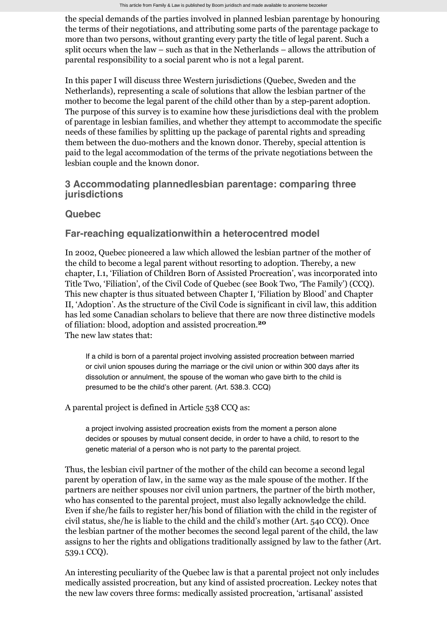the special demands of the parties involved in planned lesbian parentage by honouring the terms of their negotiations, and attributing some parts of the parentage package to more than two persons, without granting every party the title of legal parent. Such a split occurs when the law – such as that in the Netherlands – allows the attribution of parental responsibility to a social parent who is not a legal parent.

In this paper I will discuss three Western jurisdictions (Quebec, Sweden and the Netherlands), representing a scale of solutions that allow the lesbian partner of the mother to become the legal parent of the child other than by a step-parent adoption. The purpose of this survey is to examine how these jurisdictions deal with the problem of parentage in lesbian families, and whether they attempt to accommodate the specific needs of these families by splitting up the package of parental rights and spreading them between the duo-mothers and the known donor. Thereby, special attention is paid to the legal accommodation of the terms of the private negotiations between the lesbian couple and the known donor.

# **3 Accommodating plannedlesbian parentage: comparing three jurisdictions**

# **Quebec**

# **Far-reaching equalizationwithin a heterocentred model**

In 2002, Quebec pioneered a law which allowed the lesbian partner of the mother of the child to become a legal parent without resorting to adoption. Thereby, a new chapter, I.1, 'Filiation of Children Born of Assisted Procreation', was incorporated into Title Two, 'Filiation', of the Civil Code of Quebec (see Book Two, 'The Family') (CCQ). This new chapter is thus situated between Chapter I, 'Filiation by Blood' and Chapter II, 'Adoption'. As the structure of the Civil Code is significant in civil law, this addition has led some Canadian scholars to believe that there are now three distinctive models of filiation: blood, adoption and assisted procreation. **20** The new law states that:

If a child is born of a parental project involving assisted procreation between married or civil union spouses during the marriage or the civil union or within 300 days after its dissolution or annulment, the spouse of the woman who gave birth to the child is presumed to be the child's other parent. (Art. 538.3. CCQ)

A parental project is defined in Article 538 CCQ as:

a project involving assisted procreation exists from the moment a person alone decides or spouses by mutual consent decide, in order to have a child, to resort to the genetic material of a person who is not party to the parental project.

Thus, the lesbian civil partner of the mother of the child can become a second legal parent by operation of law, in the same way as the male spouse of the mother. If the partners are neither spouses nor civil union partners, the partner of the birth mother, who has consented to the parental project, must also legally acknowledge the child. Even if she/he fails to register her/his bond of filiation with the child in the register of civil status, she/he is liable to the child and the child's mother (Art. 540 CCQ). Once the lesbian partner of the mother becomes the second legal parent of the child, the law assigns to her the rights and obligations traditionally assigned by law to the father (Art. 539.1 CCQ).

An interesting peculiarity of the Quebec law is that a parental project not only includes medically assisted procreation, but any kind of assisted procreation. Leckey notes that the new law covers three forms: medically assisted procreation, 'artisanal' assisted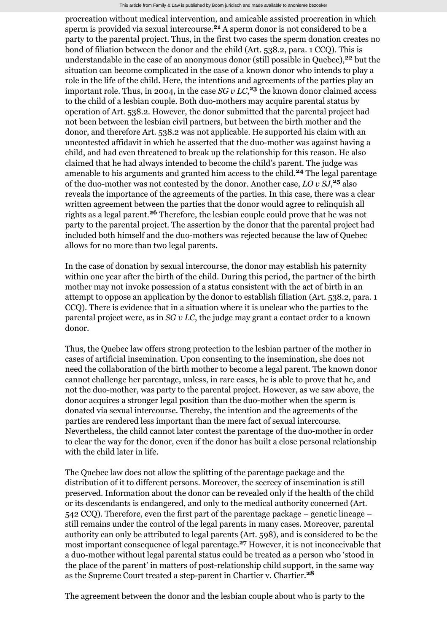procreation without medical intervention, and amicable assisted procreation in which sperm is provided via sexual intercourse.<sup>21</sup> A sperm donor is not considered to be a party to the parental project. Thus, in the first two cases the sperm donation creates no bond of filiation between the donor and the child (Art. 538.2, para. 1 CCQ). This is understandable in the case of an anonymous donor (still possible in Quebec),<sup>22</sup> but the situation can become complicated in the case of a known donor who intends to play a role in the life of the child. Here, the intentions and agreements of the parties play an important role. Thus, in 2004, in the case  $SG v LC$ , <sup>23</sup> the known donor claimed access to the child of a lesbian couple. Both duo-mothers may acquire parental status by operation of Art. 538.2. However, the donor submitted that the parental project had not been between the lesbian civil partners, but between the birth mother and the donor, and therefore Art. 538.2 was not applicable. He supported his claim with an uncontested affidavit in which he asserted that the duo-mother was against having a child, and had even threatened to break up the relationship for this reason. He also claimed that he had always intended to become the child's parent. The judge was amenable to his arguments and granted him access to the child.<sup>24</sup> The legal parentage of the duo-mother was not contested by the donor. Another case,  $LO v S J$ ,  $25$  also reveals the importance of the agreements of the parties. In this case, there was a clear written agreement between the parties that the donor would agree to relinquish all rights as a legal parent.<sup>26</sup> Therefore, the lesbian couple could prove that he was not party to the parental project. The assertion by the donor that the parental project had included both himself and the duo-mothers was rejected because the law of Quebec allows for no more than two legal parents.

In the case of donation by sexual intercourse, the donor may establish his paternity within one year after the birth of the child. During this period, the partner of the birth mother may not invoke possession of a status consistent with the act of birth in an attempt to oppose an application by the donor to establish filiation (Art. 538.2, para. 1 CCQ). There is evidence that in a situation where it is unclear who the parties to the parental project were, as in *SG v LC*, the judge may grant a contact order to a known donor.

Thus, the Quebec law offers strong protection to the lesbian partner of the mother in cases of artificial insemination. Upon consenting to the insemination, she does not need the collaboration of the birth mother to become a legal parent. The known donor cannot challenge her parentage, unless, in rare cases, he is able to prove that he, and not the duo-mother, was party to the parental project. However, as we saw above, the donor acquires a stronger legal position than the duo-mother when the sperm is donated via sexual intercourse. Thereby, the intention and the agreements of the parties are rendered less important than the mere fact of sexual intercourse. Nevertheless, the child cannot later contest the parentage of the duo-mother in order to clear the way for the donor, even if the donor has built a close personal relationship with the child later in life.

The Quebec law does not allow the splitting of the parentage package and the distribution of it to different persons. Moreover, the secrecy of insemination is still preserved. Information about the donor can be revealed only if the health of the child or its descendants is endangered, and only to the medical authority concerned (Art. 542 CCQ). Therefore, even the first part of the parentage package – genetic lineage – still remains under the control of the legal parents in many cases. Moreover, parental authority can only be attributed to legal parents (Art. 598), and is considered to be the most important consequence of legal parentage.<sup>27</sup> However, it is not inconceivable that a duo-mother without legal parental status could be treated as a person who 'stood in the place of the parent' in matters of post-relationship child support, in the same way as the Supreme Court treated a step-parent in Chartier v. Chartier.<sup>28</sup>

The agreement between the donor and the lesbian couple about who is party to the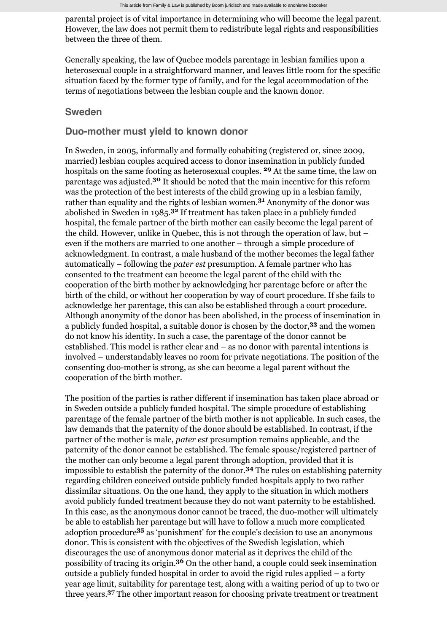parental project is of vital importance in determining who will become the legal parent. However, the law does not permit them to redistribute legal rights and responsibilities between the three of them.

Generally speaking, the law of Quebec models parentage in lesbian families upon a heterosexual couple in a straightforward manner, and leaves little room for the specific situation faced by the former type of family, and for the legal accommodation of the terms of negotiations between the lesbian couple and the known donor.

#### **Sweden**

### **Duo-mother must yield to known donor**

In Sweden, in 2005, informally and formally cohabiting (registered or, since 2009, married) lesbian couples acquired access to donor insemination in publicly funded hospitals on the same footing as heterosexual couples. <sup>29</sup> At the same time, the law on parentage was adjusted.<sup>30</sup> It should be noted that the main incentive for this reform was the protection of the best interests of the child growing up in a lesbian family, rather than equality and the rights of lesbian women.<sup>31</sup> Anonymity of the donor was abolished in Sweden in 1985.<sup>32</sup> If treatment has taken place in a publicly funded hospital, the female partner of the birth mother can easily become the legal parent of the child. However, unlike in Quebec, this is not through the operation of law, but – even if the mothers are married to one another – through a simple procedure of acknowledgment. In contrast, a male husband of the mother becomes the legal father automatically – following the *pater est* presumption. A female partner who has consented to the treatment can become the legal parent of the child with the cooperation of the birth mother by acknowledging her parentage before or after the birth of the child, or without her cooperation by way of court procedure. If she fails to acknowledge her parentage, this can also be established through a court procedure. Although anonymity of the donor has been abolished, in the process of insemination in a publicly funded hospital, a suitable donor is chosen by the doctor,<sup>33</sup> and the women do not know his identity. In such a case, the parentage of the donor cannot be established. This model is rather clear and – as no donor with parental intentions is involved – understandably leaves no room for private negotiations. The position of the consenting duo-mother is strong, as she can become a legal parent without the cooperation of the birth mother.

The position of the parties is rather different if insemination has taken place abroad or in Sweden outside a publicly funded hospital. The simple procedure of establishing parentage of the female partner of the birth mother is not applicable. In such cases, the law demands that the paternity of the donor should be established. In contrast, if the partner of the mother is male, *pater est* presumption remains applicable, and the paternity of the donor cannot be established. The female spouse/registered partner of the mother can only become a legal parent through adoption, provided that it is impossible to establish the paternity of the donor.<sup>34</sup> The rules on establishing paternity regarding children conceived outside publicly funded hospitals apply to two rather dissimilar situations. On the one hand, they apply to the situation in which mothers avoid publicly funded treatment because they do not want paternity to be established. In this case, as the anonymous donor cannot be traced, the duo-mother will ultimately be able to establish her parentage but will have to follow a much more complicated adoption procedure<sup>35</sup> as 'punishment' for the couple's decision to use an anonymous donor. This is consistent with the objectives of the Swedish legislation, which discourages the use of anonymous donor material as it deprives the child of the possibility of tracing its origin.<sup>36</sup> On the other hand, a couple could seek insemination outside a publicly funded hospital in order to avoid the rigid rules applied – a forty year age limit, suitability for parentage test, along with a waiting period of up to two or three years.<sup>37</sup> The other important reason for choosing private treatment or treatment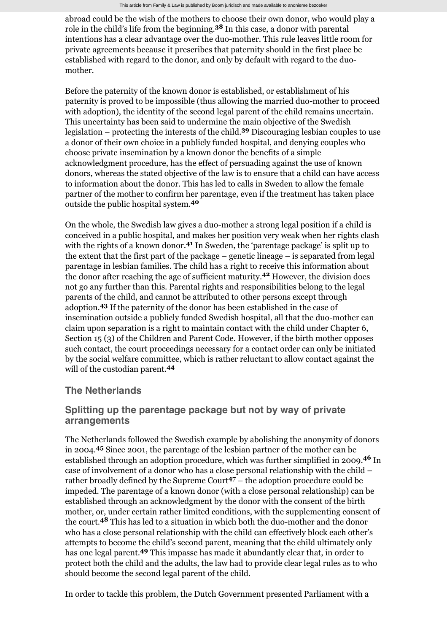abroad could be the wish of the mothers to choose their own donor, who would play a role in the child's life from the beginning.<sup>38</sup> In this case, a donor with parental intentions has a clear advantage over the duo-mother. This rule leaves little room for private agreements because it prescribes that paternity should in the first place be established with regard to the donor, and only by default with regard to the duomother.

Before the paternity of the known donor is established, or establishment of his paternity is proved to be impossible (thus allowing the married duo-mother to proceed with adoption), the identity of the second legal parent of the child remains uncertain. This uncertainty has been said to undermine the main objective of the Swedish legislation – protecting the interests of the child.<sup>39</sup> Discouraging lesbian couples to use a donor of their own choice in a publicly funded hospital, and denying couples who choose private insemination by a known donor the benefits of a simple acknowledgment procedure, has the effect of persuading against the use of known donors, whereas the stated objective of the law is to ensure that a child can have access to information about the donor. This has led to calls in Sweden to allow the female partner of the mother to confirm her parentage, even if the treatment has taken place outside the public hospital system. **40**

On the whole, the Swedish law gives a duo-mother a strong legal position if a child is conceived in a public hospital, and makes her position very weak when her rights clash with the rights of a known donor.<sup>41</sup> In Sweden, the 'parentage package' is split up to the extent that the first part of the package – genetic lineage – is separated from legal parentage in lesbian families. The child has a right to receive this information about the donor after reaching the age of sufficient maturity.<sup>42</sup> However, the division does not go any further than this. Parental rights and responsibilities belong to the legal parents of the child, and cannot be attributed to other persons except through adoption.<sup>43</sup> If the paternity of the donor has been established in the case of insemination outside a publicly funded Swedish hospital, all that the duo-mother can claim upon separation is a right to maintain contact with the child under Chapter 6, Section 15 (3) of the Children and Parent Code. However, if the birth mother opposes such contact, the court proceedings necessary for a contact order can only be initiated by the social welfare committee, which is rather reluctant to allow contact against the will of the custodian parent. **44**

## **The Netherlands**

# **Splitting up the parentage package but not by way of private arrangements**

The Netherlands followed the Swedish example by abolishing the anonymity of donors in 2004.<sup>45</sup> Since 2001, the parentage of the lesbian partner of the mother can be established through an adoption procedure, which was further simplified in 2009.<sup>46</sup> In case of involvement of a donor who has a close personal relationship with the child – rather broadly defined by the Supreme Court<sup>47</sup> – the adoption procedure could be impeded. The parentage of a known donor (with a close personal relationship) can be established through an acknowledgment by the donor with the consent of the birth mother, or, under certain rather limited conditions, with the supplementing consent of the court.<sup>48</sup> This has led to a situation in which both the duo-mother and the donor who has a close personal relationship with the child can effectively block each other's attempts to become the child's second parent, meaning that the child ultimately only has one legal parent.<sup>49</sup> This impasse has made it abundantly clear that, in order to protect both the child and the adults, the law had to provide clear legal rules as to who should become the second legal parent of the child.

In order to tackle this problem, the Dutch Government presented Parliament with a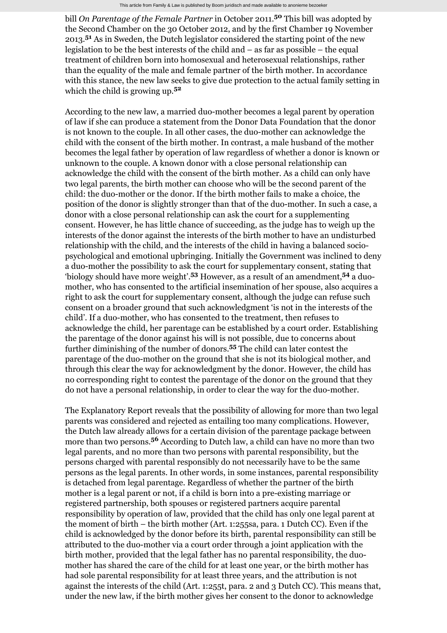bill *On Parentage of the Female Partner* in October 2011.<sup>50</sup> This bill was adopted by the Second Chamber on the 30 October 2012, and by the first Chamber 19 November 2013.<sup>51</sup> As in Sweden, the Dutch legislator considered the starting point of the new legislation to be the best interests of the child and – as far as possible – the equal treatment of children born into homosexual and heterosexual relationships, rather than the equality of the male and female partner of the birth mother. In accordance with this stance, the new law seeks to give due protection to the actual family setting in which the child is growing up. **52**

According to the new law, a married duo-mother becomes a legal parent by operation of law if she can produce a statement from the Donor Data Foundation that the donor is not known to the couple. In all other cases, the duo-mother can acknowledge the child with the consent of the birth mother. In contrast, a male husband of the mother becomes the legal father by operation of law regardless of whether a donor is known or unknown to the couple. A known donor with a close personal relationship can acknowledge the child with the consent of the birth mother. As a child can only have two legal parents, the birth mother can choose who will be the second parent of the child: the duo-mother or the donor. If the birth mother fails to make a choice, the position of the donor is slightly stronger than that of the duo-mother. In such a case, a donor with a close personal relationship can ask the court for a supplementing consent. However, he has little chance of succeeding, as the judge has to weigh up the interests of the donor against the interests of the birth mother to have an undisturbed relationship with the child, and the interests of the child in having a balanced sociopsychological and emotional upbringing. Initially the Government was inclined to deny a duo-mother the possibility to ask the court for supplementary consent, stating that 'biology should have more weight'.<sup>53</sup> However, as a result of an amendment,<sup>54</sup> a duomother, who has consented to the artificial insemination of her spouse, also acquires a right to ask the court for supplementary consent, although the judge can refuse such consent on a broader ground that such acknowledgment 'is not in the interests of the child'. If a duo-mother, who has consented to the treatment, then refuses to acknowledge the child, her parentage can be established by a court order. Establishing the parentage of the donor against his will is not possible, due to concerns about further diminishing of the number of donors.<sup>55</sup> The child can later contest the parentage of the duo-mother on the ground that she is not its biological mother, and through this clear the way for acknowledgment by the donor. However, the child has no corresponding right to contest the parentage of the donor on the ground that they do not have a personal relationship, in order to clear the way for the duo-mother.

The Explanatory Report reveals that the possibility of allowing for more than two legal parents was considered and rejected as entailing too many complications. However, the Dutch law already allows for a certain division of the parentage package between more than two persons.<sup>56</sup> According to Dutch law, a child can have no more than two legal parents, and no more than two persons with parental responsibility, but the persons charged with parental responsibly do not necessarily have to be the same persons as the legal parents. In other words, in some instances, parental responsibility is detached from legal parentage. Regardless of whether the partner of the birth mother is a legal parent or not, if a child is born into a pre-existing marriage or registered partnership, both spouses or registered partners acquire parental responsibility by operation of law, provided that the child has only one legal parent at the moment of birth – the birth mother (Art. 1:255sa, para. 1 Dutch CC). Even if the child is acknowledged by the donor before its birth, parental responsibility can still be attributed to the duo-mother via a court order through a joint application with the birth mother, provided that the legal father has no parental responsibility, the duomother has shared the care of the child for at least one year, or the birth mother has had sole parental responsibility for at least three years, and the attribution is not against the interests of the child (Art. 1:255t, para. 2 and 3 Dutch CC). This means that, under the new law, if the birth mother gives her consent to the donor to acknowledge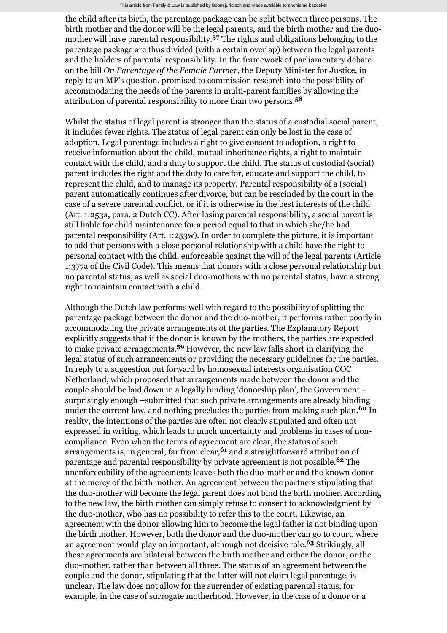the child after its birth, the parentage package can be split between three persons. The birth mother and the donor will be the legal parents, and the birth mother and the duomother will have parental responsibility.<sup>57</sup> The rights and obligations belonging to the parentage package are thus divided (with a certain overlap) between the legal parents and the holders of parental responsibility. In the framework of parliamentary debate on the bill *On Parentage of the Female Partner*, the Deputy Minister for Justice, in reply to an MP's question, promised to commission research into the possibility of accommodating the needs of the parents in multi-parent families by allowing the attribution of parental responsibility to more than two persons. **58**

Whilst the status of legal parent is stronger than the status of a custodial social parent, it includes fewer rights. The status of legal parent can only be lost in the case of adoption. Legal parentage includes a right to give consent to adoption, a right to receive information about the child, mutual inheritance rights, a right to maintain contact with the child, and a duty to support the child. The status of custodial (social) parent includes the right and the duty to care for, educate and support the child, to represent the child, and to manage its property. Parental responsibility of a (social) parent automatically continues after divorce, but can be rescinded by the court in the case of a severe parental conflict, or if it is otherwise in the best interests of the child (Art. 1:253a, para. 2 Dutch CC). After losing parental responsibility, a social parent is still liable for child maintenance for a period equal to that in which she/he had parental responsibility (Art. 1:253w). In order to complete the picture, it is important to add that persons with a close personal relationship with a child have the right to personal contact with the child, enforceable against the will of the legal parents (Article 1:377a of the Civil Code). This means that donors with a close personal relationship but no parental status, as well as social duo-mothers with no parental status, have a strong right to maintain contact with a child.

Although the Dutch law performs well with regard to the possibility of splitting the parentage package between the donor and the duo-mother, it performs rather poorly in accommodating the private arrangements of the parties. The Explanatory Report explicitly suggests that if the donor is known by the mothers, the parties are expected to make private arrangements.<sup>59</sup> However, the new law falls short in clarifying the legal status of such arrangements or providing the necessary guidelines for the parties. In reply to a suggestion put forward by homosexual interests organisation COC Netherland, which proposed that arrangements made between the donor and the couple should be laid down in a legally binding 'donorship plan', the Government – surprisingly enough –submitted that such private arrangements are already binding under the current law, and nothing precludes the parties from making such plan.<sup>60</sup> In reality, the intentions of the parties are often not clearly stipulated and often not expressed in writing, which leads to much uncertainty and problems in cases of noncompliance. Even when the terms of agreement are clear, the status of such arrangements is, in general, far from clear,<sup>61</sup> and a straightforward attribution of parentage and parental responsibility by private agreement is not possible.<sup>62</sup> The unenforceability of the agreements leaves both the duo-mother and the known donor at the mercy of the birth mother. An agreement between the partners stipulating that the duo-mother will become the legal parent does not bind the birth mother. According to the new law, the birth mother can simply refuse to consent to acknowledgment by the duo-mother, who has no possibility to refer this to the court. Likewise, an agreement with the donor allowing him to become the legal father is not binding upon the birth mother. However, both the donor and the duo-mother can go to court, where an agreement would play an important, although not decisive role.<sup>63</sup> Strikingly, all these agreements are bilateral between the birth mother and either the donor, or the duo-mother, rather than between all three. The status of an agreement between the couple and the donor, stipulating that the latter will not claim legal parentage, is unclear. The law does not allow for the surrender of existing parental status, for example, in the case of surrogate motherhood. However, in the case of a donor or a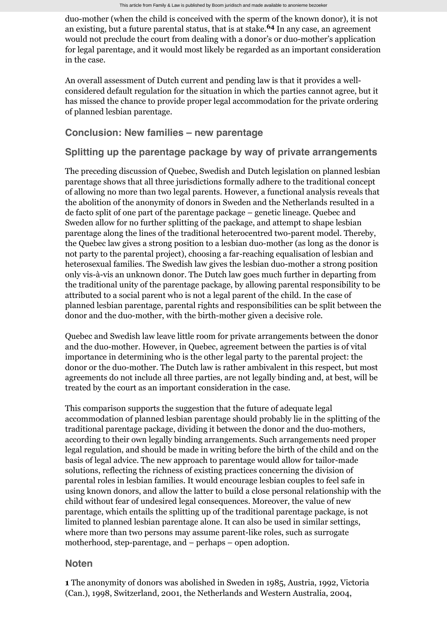duo-mother (when the child is conceived with the sperm of the known donor), it is not an existing, but a future parental status, that is at stake.<sup>64</sup> In any case, an agreement would not preclude the court from dealing with a donor's or duo-mother's application for legal parentage, and it would most likely be regarded as an important consideration in the case.

An overall assessment of Dutch current and pending law is that it provides a wellconsidered default regulation for the situation in which the parties cannot agree, but it has missed the chance to provide proper legal accommodation for the private ordering of planned lesbian parentage.

# **Conclusion: New families – new parentage**

# **Splitting up the parentage package by way of private arrangements**

The preceding discussion of Quebec, Swedish and Dutch legislation on planned lesbian parentage shows that all three jurisdictions formally adhere to the traditional concept of allowing no more than two legal parents. However, a functional analysis reveals that the abolition of the anonymity of donors in Sweden and the Netherlands resulted in a de facto split of one part of the parentage package – genetic lineage. Quebec and Sweden allow for no further splitting of the package, and attempt to shape lesbian parentage along the lines of the traditional heterocentred two-parent model. Thereby, the Quebec law gives a strong position to a lesbian duo-mother (as long as the donor is not party to the parental project), choosing a far-reaching equalisation of lesbian and heterosexual families. The Swedish law gives the lesbian duo-mother a strong position only vis-à-vis an unknown donor. The Dutch law goes much further in departing from the traditional unity of the parentage package, by allowing parental responsibility to be attributed to a social parent who is not a legal parent of the child. In the case of planned lesbian parentage, parental rights and responsibilities can be split between the donor and the duo-mother, with the birth-mother given a decisive role.

Quebec and Swedish law leave little room for private arrangements between the donor and the duo-mother. However, in Quebec, agreement between the parties is of vital importance in determining who is the other legal party to the parental project: the donor or the duo-mother. The Dutch law is rather ambivalent in this respect, but most agreements do not include all three parties, are not legally binding and, at best, will be treated by the court as an important consideration in the case.

This comparison supports the suggestion that the future of adequate legal accommodation of planned lesbian parentage should probably lie in the splitting of the traditional parentage package, dividing it between the donor and the duo-mothers, according to their own legally binding arrangements. Such arrangements need proper legal regulation, and should be made in writing before the birth of the child and on the basis of legal advice. The new approach to parentage would allow for tailor-made solutions, reflecting the richness of existing practices concerning the division of parental roles in lesbian families. It would encourage lesbian couples to feel safe in using known donors, and allow the latter to build a close personal relationship with the child without fear of undesired legal consequences. Moreover, the value of new parentage, which entails the splitting up of the traditional parentage package, is not limited to planned lesbian parentage alone. It can also be used in similar settings, where more than two persons may assume parent-like roles, such as surrogate motherhood, step-parentage, and – perhaps – open adoption.

## **Noten**

**1** The anonymity of donors was abolished in Sweden in 1985, Austria, 1992, Victoria (Can.), 1998, Switzerland, 2001, the Netherlands and Western Australia, 2004,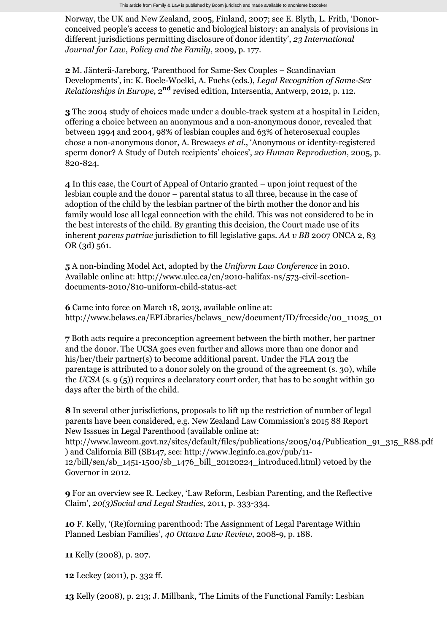Norway, the UK and New Zealand, 2005, Finland, 2007; see E. Blyth, L. Frith, 'Donorconceived people's access to genetic and biological history: an analysis of provisions in different jurisdictions permitting disclosure of donor identity', *23 International Journal for Law*, *Policy and the Family*, 2009, p. 177.

**2** M. Jänterä-Jareborg, 'Parenthood for Same-Sex Couples – Scandinavian Developments', in: K. Boele-Woelki, A. Fuchs (eds.), *Legal Recognition of Same-Sex Relationships in Europe,* 2<sup>nd</sup> revised edition, Intersentia, Antwerp, 2012, p. 112.

**3** The 2004 study of choices made under a double-track system at a hospital in Leiden, offering a choice between an anonymous and a non-anonymous donor, revealed that between 1994 and 2004, 98% of lesbian couples and 63% of heterosexual couples chose a non-anonymous donor, A. Brewaeys *et al*., 'Anonymous or identity-registered sperm donor? A Study of Dutch recipients' choices', *20 Human Reproduction*, 2005, p. 820-824.

**4** In this case, the Court of Appeal of Ontario granted – upon joint request of the lesbian couple and the donor – parental status to all three, because in the case of adoption of the child by the lesbian partner of the birth mother the donor and his family would lose all legal connection with the child. This was not considered to be in the best interests of the child. By granting this decision, the Court made use of its inherent *parens patriae* jurisdiction to fill legislative gaps. *AA v BB* 2007 ONCA 2, 83 OR (3d) 561.

**5** A non-binding Model Act, adopted by the *Uniform Law Conference* in 2010. Available online at: http://www.ulcc.ca/en/2010-halifax-ns/573-civil-sectiondocuments-2010/810-uniform-child-status-act

**6** Came into force on March 18, 2013, available online at: http://www.bclaws.ca/EPLibraries/bclaws\_new/document/ID/freeside/00\_11025\_01

**7** Both acts require a preconception agreement between the birth mother, her partner and the donor. The UCSA goes even further and allows more than one donor and his/her/their partner(s) to become additional parent. Under the FLA 2013 the parentage is attributed to a donor solely on the ground of the agreement (s. 30), while the *UCSA* (s. 9 (5)) requires a declaratory court order, that has to be sought within 30 days after the birth of the child.

**8** In several other jurisdictions, proposals to lift up the restriction of number of legal parents have been considered, e.g. New Zealand Law Commission's 2015 88 Report New Isssues in Legal Parenthood (available online at: http://www.lawcom.govt.nz/sites/default/files/publications/2005/04/Publication\_91\_315\_R88.pdf ) and California Bill (SB147, see: http://www.leginfo.ca.gov/pub/11- 12/bill/sen/sb\_1451-1500/sb\_1476\_bill\_20120224\_introduced.html) vetoed by the Governor in 2012.

**9** For an overview see R. Leckey, 'Law Reform, Lesbian Parenting, and the Reflective Claim', *20(3)Social and Legal Studies*, 2011, p. 333-334.

**10** F. Kelly, '(Re)forming parenthood: The Assignment of Legal Parentage Within Planned Lesbian Families', *40 Ottawa Law Review*, 2008-9, p. 188.

**11** Kelly (2008), p. 207.

**12** Leckey (2011), p. 332 ff.

**13** Kelly (2008), p. 213; J. Millbank, 'The Limits of the Functional Family: Lesbian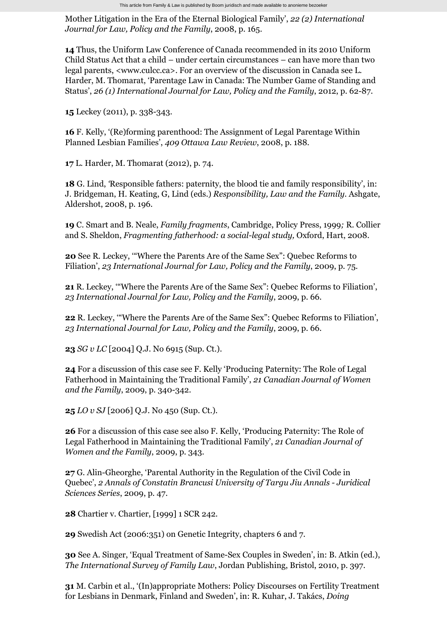Mother Litigation in the Era of the Eternal Biological Family', *22 (2) International Journal for Law, Policy and the Family*, 2008, p. 165.

**14** Thus, the Uniform Law Conference of Canada recommended in its 2010 Uniform Child Status Act that a child – under certain circumstances – can have more than two legal parents, [<www.culcc.ca>](http://www.familieenrecht.nl/tijdschrift/fenr/2014/02/FENR-D-13-00002). For an overview of the discussion in Canada see L. Harder, M. Thomarat, 'Parentage Law in Canada: The Number Game of Standing and Status', *26 (1) International Journal for Law, Policy and the Family*, 2012, p. 62-87.

**15** Leckey (2011), p. 338-343.

**16** F. Kelly, '(Re)forming parenthood: The Assignment of Legal Parentage Within Planned Lesbian Families', *409 Ottawa Law Review*, 2008, p. 188.

**17** L. Harder, M. Thomarat (2012), p. 74.

**18** G. Lind, *'*Responsible fathers: paternity, the blood tie and family responsibility', in: J. Bridgeman, H. Keating, G, Lind (eds.) *Responsibility, Law and the Family*. Ashgate, Aldershot, 2008, p. 196.

**19** C. Smart and B. Neale, *Family fragments*, Cambridge, Policy Press, 1999*;* R. Collier and S. Sheldon, *Fragmenting fatherhood: a social-legal study,* Oxford, Hart, 2008.

**20** See R. Leckey, '"Where the Parents Are of the Same Sex": Quebec Reforms to Filiation', *23 International Journal for Law, Policy and the Family*, 2009, p. 75.

**21** R. Leckey, '"Where the Parents Are of the Same Sex": Quebec Reforms to Filiation', *23 International Journal for Law, Policy and the Family*, 2009, p. 66.

**22** R. Leckey, '"Where the Parents Are of the Same Sex": Quebec Reforms to Filiation', *23 International Journal for Law, Policy and the Family*, 2009, p. 66.

**23** *SG v LC* [2004] Q.J. No 6915 (Sup. Ct.).

**24** For a discussion of this case see F. Kelly 'Producing Paternity: The Role of Legal Fatherhood in Maintaining the Traditional Family', *21 Canadian Journal of Women and the Family*, 2009, p. 340-342.

**25** *LO v SJ* [2006] Q.J. No 450 (Sup. Ct.).

**26** For a discussion of this case see also F. Kelly, 'Producing Paternity: The Role of Legal Fatherhood in Maintaining the Traditional Family', *21 Canadian Journal of Women and the Family*, 2009, p. 343.

**27** G. Alin-Gheorghe, 'Parental Authority in the Regulation of the Civil Code in Quebec', *2 Annals of Constatin Brancusi University of Targu Jiu Annals - Juridical Sciences Series*, 2009, p. 47.

**28** Chartier v. Chartier, [1999] 1 SCR 242.

**29** Swedish Act (2006:351) on Genetic Integrity, chapters 6 and 7.

**30** See A. Singer, 'Equal Treatment of Same-Sex Couples in Sweden', in: B. Atkin (ed.), *The International Survey of Family Law*, Jordan Publishing, Bristol, 2010, p. 397.

**31** M. Carbin et al., '(In)appropriate Mothers: Policy Discourses on Fertility Treatment for Lesbians in Denmark, Finland and Sweden', in: R. Kuhar, J. [Takács,](http://www.familieenrecht.nl/tijdschrift/fenr/2014/02/FENR-D-13-00002) *Doing*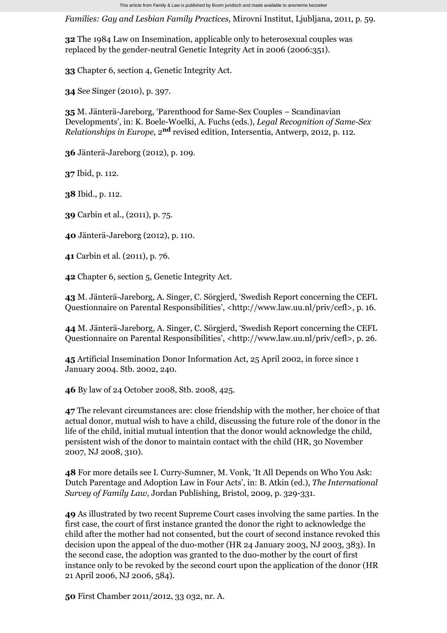*Families: Gay and Lesbian Family Practices*, Mirovni Institut, Ljubljana, 2011, p. 59.

**32** The 1984 Law on Insemination, applicable only to heterosexual couples was replaced by the gender-neutral Genetic Integrity Act in 2006 (2006:351).

**33** Chapter 6, section 4, Genetic Integrity Act.

**34** See Singer (2010), p. 397.

**35** M. Jänterä-Jareborg, 'Parenthood for Same-Sex Couples – Scandinavian Developments', in: K. Boele-Woelki, A. Fuchs (eds.), *Legal Recognition of Same-Sex Relationships in Europe,* 2<sup>nd</sup> revised edition, Intersentia, Antwerp, 2012, p. 112.

**36** Jänterä-Jareborg (2012), p. 109.

**37** Ibid, p. 112.

**38** Ibid., p. 112.

**39** Carbin et al., (2011), p. 75.

**40** Jänterä-Jareborg (2012), p. 110.

**41** Carbin et al. (2011), p. 76.

**42** Chapter 6, section 5, Genetic Integrity Act.

**43** M. Jänterä-Jareborg, A. Singer, C. Sörgjerd, 'Swedish Report concerning the CEFL Questionnaire on Parental Responsibilities', <http://www.law.uu.nl/priv/cefl>, p. 16.

**44** M. Jänterä-Jareborg, A. Singer, C. Sörgjerd, 'Swedish Report concerning the CEFL Questionnaire on Parental Responsibilities', <http://www.law.uu.nl/priv/cefl>, p. 26.

**45** Artificial Insemination Donor Information Act, 25 April 2002, in force since 1 January 2004. Stb. 2002, 240.

**46** By law of 24 October 2008, Stb. 2008, 425.

**47** The relevant circumstances are: close friendship with the mother, her choice of that actual donor, mutual wish to have a child, discussing the future role of the donor in the life of the child, initial mutual intention that the donor would acknowledge the child, persistent wish of the donor to maintain contact with the child (HR, 30 November 2007, NJ 2008, 310).

**48** For more details see I. Curry-Sumner, M. Vonk, 'It All Depends on Who You Ask: Dutch Parentage and Adoption Law in Four Acts', in: B. Atkin (ed.), *The International Survey of Family Law*, Jordan Publishing, Bristol, 2009, p. 329-331.

**49** As illustrated by two recent Supreme Court cases involving the same parties. In the first case, the court of first instance granted the donor the right to acknowledge the child after the mother had not consented, but the court of second instance revoked this decision upon the appeal of the duo-mother (HR 24 January 2003, NJ 2003, 383). In the second case, the adoption was granted to the duo-mother by the court of first instance only to be revoked by the second court upon the application of the donor (HR 21 April 2006, NJ 2006, 584).

**50** First Chamber 2011/2012, 33 032, nr. A.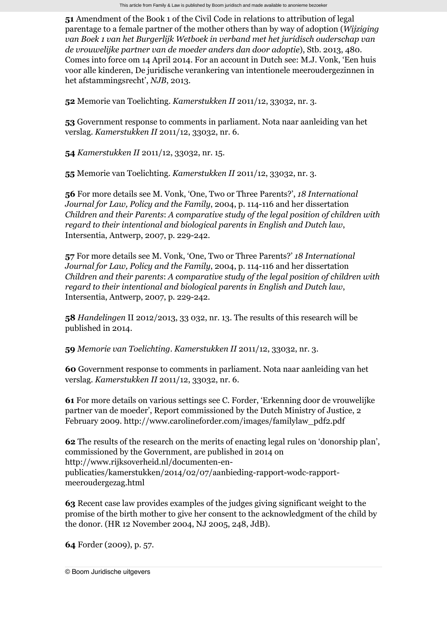**51** Amendment of the Book 1 of the Civil Code in relations to attribution of legal parentage to a female partner of the mother others than by way of adoption (*Wijziging van Boek 1 van het Burgerlijk Wetboek in verband met het juridisch ouderschap van de vrouwelijke partner van de moeder anders dan door adoptie*), Stb. 2013, 480. Comes into force om 14 April 2014. For an account in Dutch see: M.J. Vonk, 'Een huis voor alle kinderen, De juridische verankering van intentionele meeroudergezinnen in het afstammingsrecht', *NJB*, 2013.

**52** Memorie van Toelichting. *Kamerstukken II* 2011/12, 33032, nr. 3.

**53** Government response to comments in parliament. Nota naar aanleiding van het verslag. *Kamerstukken II* 2011/12, 33032, nr. 6.

**54** *Kamerstukken II* 2011/12, 33032, nr. 15.

**55** Memorie van Toelichting. *Kamerstukken II* 2011/12, 33032, nr. 3.

**56** For more details see M. Vonk, 'One, Two or Three Parents?', *18 International Journal for Law, Policy and the Family*, 2004, p. 114-116 and her dissertation *Children and their Parents*: *A comparative study of the legal position of children with regard to their intentional and biological parents in English and Dutch law*, Intersentia, Antwerp, 2007, p. 229-242.

**57** For more details see M. Vonk, 'One, Two or Three Parents?' *18 International Journal for Law, Policy and the Family*, 2004, p. 114-116 and her dissertation *Children and their parents*: *A comparative study of the legal position of children with regard to their intentional and biological parents in English and Dutch law*, Intersentia, Antwerp, 2007, p. 229-242.

**58** *Handelingen* II 2012/2013, 33 032, nr. 13. The results of this research will be published in 2014.

**59** *Memorie van Toelichting*. *Kamerstukken II* 2011/12, 33032, nr. 3.

**60** Government response to comments in parliament. Nota naar aanleiding van het verslag. *Kamerstukken II* 2011/12, 33032, nr. 6.

**61** For more details on various settings see C. Forder, 'Erkenning door de vrouwelijke partner van de moeder', Report commissioned by the Dutch Ministry of Justice, 2 February 2009. http://www.carolineforder.com/images/familylaw\_pdf2.pdf

**62** The results of the research on the merits of enacting legal rules on 'donorship plan', commissioned by the Government, are published in 2014 on http://www.rijksoverheid.nl/documenten-enpublicaties/kamerstukken/2014/02/07/aanbieding-rapport-wodc-rapportmeeroudergezag.html

**63** Recent case law provides examples of the judges giving significant weight to the promise of the birth mother to give her consent to the acknowledgment of the child by the donor. (HR 12 November 2004, NJ 2005, 248, JdB).

**64** Forder (2009), p. 57.

[© Boom Juridische uitgevers](http://www.bju.nl/)